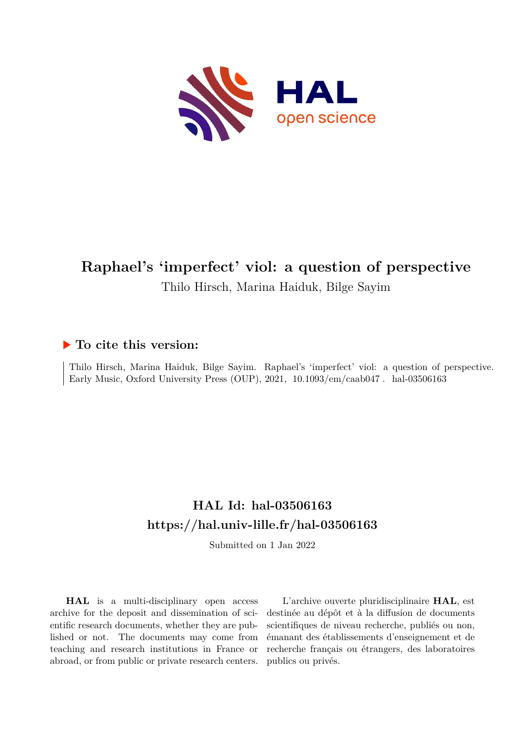

# **Raphael's 'imperfect' viol: a question of perspective** Thilo Hirsch, Marina Haiduk, Bilge Sayim

## **To cite this version:**

Thilo Hirsch, Marina Haiduk, Bilge Sayim. Raphael's 'imperfect' viol: a question of perspective. Early Music, Oxford University Press (OUP),  $2021$ ,  $10.1093/\text{em}/\text{caab047}$ . hal-03506163

## **HAL Id: hal-03506163 <https://hal.univ-lille.fr/hal-03506163>**

Submitted on 1 Jan 2022

**HAL** is a multi-disciplinary open access archive for the deposit and dissemination of scientific research documents, whether they are published or not. The documents may come from teaching and research institutions in France or abroad, or from public or private research centers.

L'archive ouverte pluridisciplinaire **HAL**, est destinée au dépôt et à la diffusion de documents scientifiques de niveau recherche, publiés ou non, émanant des établissements d'enseignement et de recherche français ou étrangers, des laboratoires publics ou privés.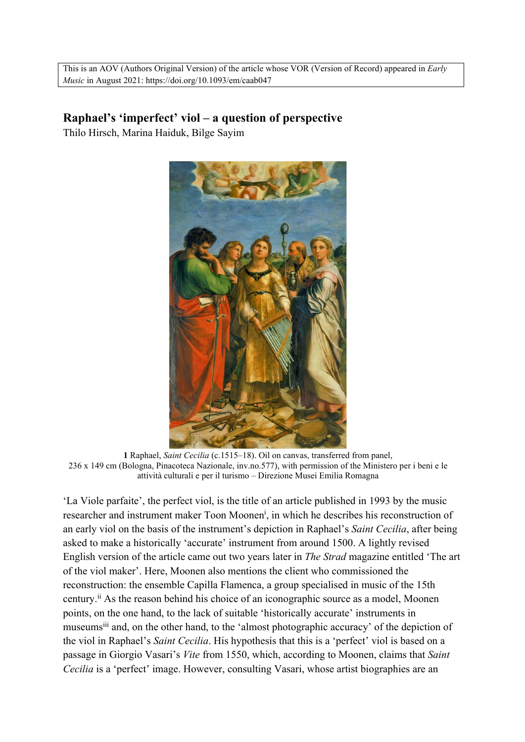This is an AOV (Authors Original Version) of the article whose VOR (Version of Record) appeared in *Early Music* in August 2021: https://doi.org/10.1093/em/caab047

## **Raphael's 'imperfect' viol – a question of perspective**

Thilo Hirsch, Marina Haiduk, Bilge Sayim



**1** Raphael, *Saint Cecilia* (c.1515–18). Oil on canvas, transferred from panel, 236 x 149 cm (Bologna, Pinacoteca Nazionale, inv.no.577), with permission of the Ministero per i beni e le attività culturali e per il turismo – Direzione Musei Emilia Romagna

'La Viole parfaite', the perfect viol, is the title of an article published in 1993 by the music researcher and instrument maker Toon Moonen<sup>i</sup>, in which he describes his reconstruction of an early viol on the basis of the instrument's depiction in Raphael's *Saint Cecilia*, after being asked to make a historically 'accurate' instrument from around 1500. A lightly revised English version of the article came out two years later in *The Strad* magazine entitled 'The art of the viol maker'. Here, Moonen also mentions the client who commissioned the reconstruction: the ensemble Capilla Flamenca, a group specialised in music of the 15th century.ii As the reason behind his choice of an iconographic source as a model, Moonen points, on the one hand, to the lack of suitable 'historically accurate' instruments in museumsiii and, on the other hand, to the 'almost photographic accuracy' of the depiction of the viol in Raphael's *Saint Cecilia*. His hypothesis that this is a 'perfect' viol is based on a passage in Giorgio Vasari's *Vite* from 1550, which, according to Moonen, claims that *Saint Cecilia* is a 'perfect' image. However, consulting Vasari, whose artist biographies are an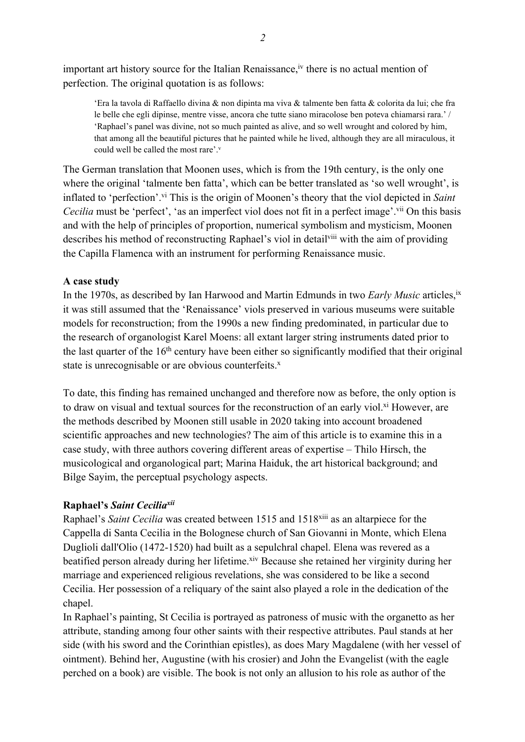important art history source for the Italian Renaissance, <sup>iv</sup> there is no actual mention of perfection. The original quotation is as follows:

'Era la tavola di Raffaello divina & non dipinta ma viva & talmente ben fatta & colorita da lui; che fra le belle che egli dipinse, mentre visse, ancora che tutte siano miracolose ben poteva chiamarsi rara.' / 'Raphael's panel was divine, not so much painted as alive, and so well wrought and colored by him, that among all the beautiful pictures that he painted while he lived, although they are all miraculous, it could well be called the most rare'.<sup>v</sup>

The German translation that Moonen uses, which is from the 19th century, is the only one where the original 'talmente ben fatta', which can be better translated as 'so well wrought', is inflated to 'perfection'.vi This is the origin of Moonen's theory that the viol depicted in *Saint Cecilia* must be 'perfect', 'as an imperfect viol does not fit in a perfect image'.<sup>vii</sup> On this basis and with the help of principles of proportion, numerical symbolism and mysticism, Moonen describes his method of reconstructing Raphael's viol in detail<sup>viii</sup> with the aim of providing the Capilla Flamenca with an instrument for performing Renaissance music.

#### **A case study**

In the 1970s, as described by Ian Harwood and Martin Edmunds in two *Early Music* articles, ix it was still assumed that the 'Renaissance' viols preserved in various museums were suitable models for reconstruction; from the 1990s a new finding predominated, in particular due to the research of organologist Karel Moens: all extant larger string instruments dated prior to the last quarter of the 16<sup>th</sup> century have been either so significantly modified that their original state is unrecognisable or are obvious counterfeits.<sup>x</sup>

To date, this finding has remained unchanged and therefore now as before, the only option is to draw on visual and textual sources for the reconstruction of an early viol.<sup>xi</sup> However, are the methods described by Moonen still usable in 2020 taking into account broadened scientific approaches and new technologies? The aim of this article is to examine this in a case study, with three authors covering different areas of expertise – Thilo Hirsch, the musicological and organological part; Marina Haiduk, the art historical background; and Bilge Sayim, the perceptual psychology aspects.

### **Raphael's** *Saint Ceciliaxii*

Raphael's *Saint Cecilia* was created between 1515 and 1518xiii as an altarpiece for the Cappella di Santa Cecilia in the Bolognese church of San Giovanni in Monte, which Elena Duglioli dall'Olio (1472-1520) had built as a sepulchral chapel. Elena was revered as a beatified person already during her lifetime.<sup>xiv</sup> Because she retained her virginity during her marriage and experienced religious revelations, she was considered to be like a second Cecilia. Her possession of a reliquary of the saint also played a role in the dedication of the chapel.

In Raphael's painting, St Cecilia is portrayed as patroness of music with the organetto as her attribute, standing among four other saints with their respective attributes. Paul stands at her side (with his sword and the Corinthian epistles), as does Mary Magdalene (with her vessel of ointment). Behind her, Augustine (with his crosier) and John the Evangelist (with the eagle perched on a book) are visible. The book is not only an allusion to his role as author of the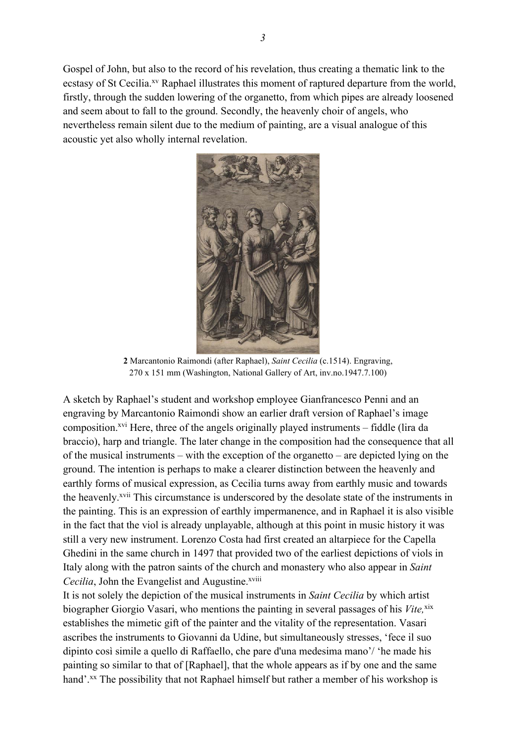Gospel of John, but also to the record of his revelation, thus creating a thematic link to the ecstasy of St Cecilia.<sup>xv</sup> Raphael illustrates this moment of raptured departure from the world, firstly, through the sudden lowering of the organetto, from which pipes are already loosened and seem about to fall to the ground. Secondly, the heavenly choir of angels, who nevertheless remain silent due to the medium of painting, are a visual analogue of this acoustic yet also wholly internal revelation.



**2** Marcantonio Raimondi (after Raphael), *Saint Cecilia* (c.1514). Engraving, 270 x 151 mm (Washington, National Gallery of Art, inv.no.1947.7.100)

A sketch by Raphael's student and workshop employee Gianfrancesco Penni and an engraving by Marcantonio Raimondi show an earlier draft version of Raphael's image composition.<sup> $xvi$ </sup> Here, three of the angels originally played instruments – fiddle (lira da braccio), harp and triangle. The later change in the composition had the consequence that all of the musical instruments – with the exception of the organetto – are depicted lying on the ground. The intention is perhaps to make a clearer distinction between the heavenly and earthly forms of musical expression, as Cecilia turns away from earthly music and towards the heavenly.xvii This circumstance is underscored by the desolate state of the instruments in the painting. This is an expression of earthly impermanence, and in Raphael it is also visible in the fact that the viol is already unplayable, although at this point in music history it was still a very new instrument. Lorenzo Costa had first created an altarpiece for the Capella Ghedini in the same church in 1497 that provided two of the earliest depictions of viols in Italy along with the patron saints of the church and monastery who also appear in *Saint Cecilia*, John the Evangelist and Augustine.<sup>xviii</sup>

It is not solely the depiction of the musical instruments in *Saint Cecilia* by which artist biographer Giorgio Vasari, who mentions the painting in several passages of his *Vite*, xix establishes the mimetic gift of the painter and the vitality of the representation. Vasari ascribes the instruments to Giovanni da Udine, but simultaneously stresses, 'fece il suo dipinto così simile a quello di Raffaello, che pare d'una medesima mano'/ 'he made his painting so similar to that of [Raphael], that the whole appears as if by one and the same hand'.<sup>xx</sup> The possibility that not Raphael himself but rather a member of his workshop is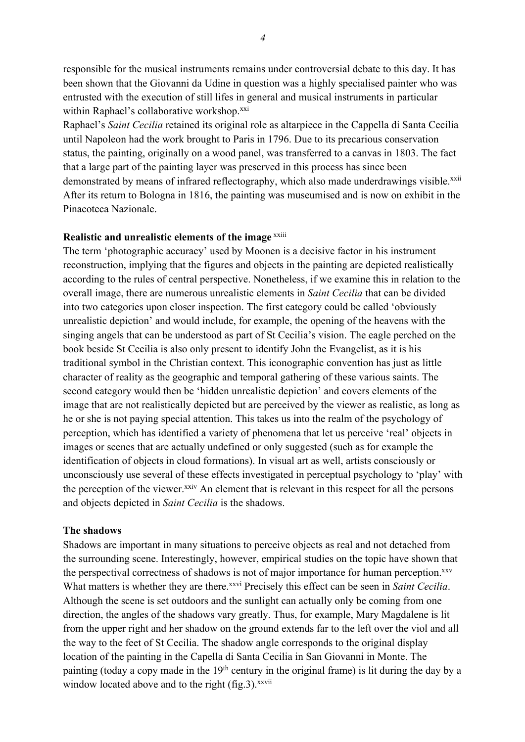responsible for the musical instruments remains under controversial debate to this day. It has been shown that the Giovanni da Udine in question was a highly specialised painter who was entrusted with the execution of still lifes in general and musical instruments in particular within Raphael's collaborative workshop.<sup>xxi</sup>

Raphael's *Saint Cecilia* retained its original role as altarpiece in the Cappella di Santa Cecilia until Napoleon had the work brought to Paris in 1796. Due to its precarious conservation status, the painting, originally on a wood panel, was transferred to a canvas in 1803. The fact that a large part of the painting layer was preserved in this process has since been demonstrated by means of infrared reflectography, which also made underdrawings visible.<sup>xxii</sup> After its return to Bologna in 1816, the painting was museumised and is now on exhibit in the Pinacoteca Nazionale.

#### **Realistic and unrealistic elements of the image xxiii**

The term 'photographic accuracy' used by Moonen is a decisive factor in his instrument reconstruction, implying that the figures and objects in the painting are depicted realistically according to the rules of central perspective. Nonetheless, if we examine this in relation to the overall image, there are numerous unrealistic elements in *Saint Cecilia* that can be divided into two categories upon closer inspection. The first category could be called 'obviously unrealistic depiction' and would include, for example, the opening of the heavens with the singing angels that can be understood as part of St Cecilia's vision. The eagle perched on the book beside St Cecilia is also only present to identify John the Evangelist, as it is his traditional symbol in the Christian context. This iconographic convention has just as little character of reality as the geographic and temporal gathering of these various saints. The second category would then be 'hidden unrealistic depiction' and covers elements of the image that are not realistically depicted but are perceived by the viewer as realistic, as long as he or she is not paying special attention. This takes us into the realm of the psychology of perception, which has identified a variety of phenomena that let us perceive 'real' objects in images or scenes that are actually undefined or only suggested (such as for example the identification of objects in cloud formations). In visual art as well, artists consciously or unconsciously use several of these effects investigated in perceptual psychology to 'play' with the perception of the viewer.<sup>xxiv</sup> An element that is relevant in this respect for all the persons and objects depicted in *Saint Cecilia* is the shadows.

#### **The shadows**

Shadows are important in many situations to perceive objects as real and not detached from the surrounding scene. Interestingly, however, empirical studies on the topic have shown that the perspectival correctness of shadows is not of major importance for human perception.<sup>xxv</sup> What matters is whether they are there.<sup>xxvi</sup> Precisely this effect can be seen in *Saint Cecilia*. Although the scene is set outdoors and the sunlight can actually only be coming from one direction, the angles of the shadows vary greatly. Thus, for example, Mary Magdalene is lit from the upper right and her shadow on the ground extends far to the left over the viol and all the way to the feet of St Cecilia. The shadow angle corresponds to the original display location of the painting in the Capella di Santa Cecilia in San Giovanni in Monte. The painting (today a copy made in the  $19<sup>th</sup>$  century in the original frame) is lit during the day by a window located above and to the right (fig.3).<sup>xxvii</sup>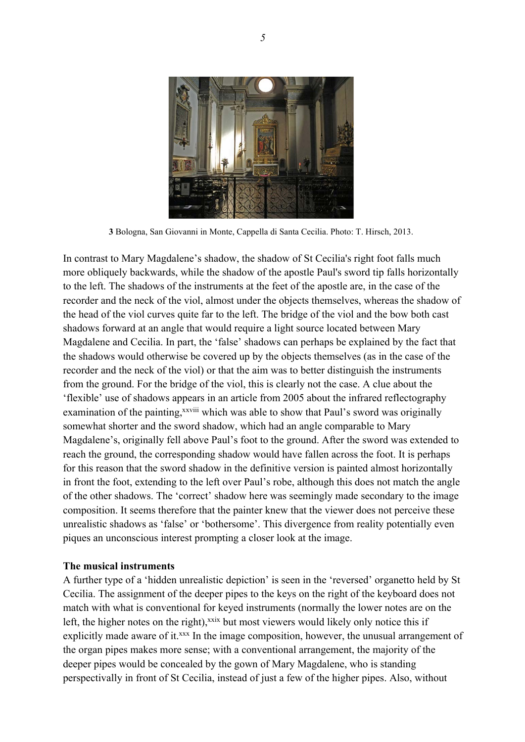

**3** Bologna, San Giovanni in Monte, Cappella di Santa Cecilia. Photo: T. Hirsch, 2013.

In contrast to Mary Magdalene's shadow, the shadow of St Cecilia's right foot falls much more obliquely backwards, while the shadow of the apostle Paul's sword tip falls horizontally to the left. The shadows of the instruments at the feet of the apostle are, in the case of the recorder and the neck of the viol, almost under the objects themselves, whereas the shadow of the head of the viol curves quite far to the left. The bridge of the viol and the bow both cast shadows forward at an angle that would require a light source located between Mary Magdalene and Cecilia. In part, the 'false' shadows can perhaps be explained by the fact that the shadows would otherwise be covered up by the objects themselves (as in the case of the recorder and the neck of the viol) or that the aim was to better distinguish the instruments from the ground. For the bridge of the viol, this is clearly not the case. A clue about the 'flexible' use of shadows appears in an article from 2005 about the infrared reflectography examination of the painting,<sup>xxviii</sup> which was able to show that Paul's sword was originally somewhat shorter and the sword shadow, which had an angle comparable to Mary Magdalene's, originally fell above Paul's foot to the ground. After the sword was extended to reach the ground, the corresponding shadow would have fallen across the foot. It is perhaps for this reason that the sword shadow in the definitive version is painted almost horizontally in front the foot, extending to the left over Paul's robe, although this does not match the angle of the other shadows. The 'correct' shadow here was seemingly made secondary to the image composition. It seems therefore that the painter knew that the viewer does not perceive these unrealistic shadows as 'false' or 'bothersome'. This divergence from reality potentially even piques an unconscious interest prompting a closer look at the image.

#### **The musical instruments**

A further type of a 'hidden unrealistic depiction' is seen in the 'reversed' organetto held by St Cecilia. The assignment of the deeper pipes to the keys on the right of the keyboard does not match with what is conventional for keyed instruments (normally the lower notes are on the left, the higher notes on the right), $x$ <sup>xxix</sup> but most viewers would likely only notice this if explicitly made aware of it.<sup>xxx</sup> In the image composition, however, the unusual arrangement of the organ pipes makes more sense; with a conventional arrangement, the majority of the deeper pipes would be concealed by the gown of Mary Magdalene, who is standing perspectivally in front of St Cecilia, instead of just a few of the higher pipes. Also, without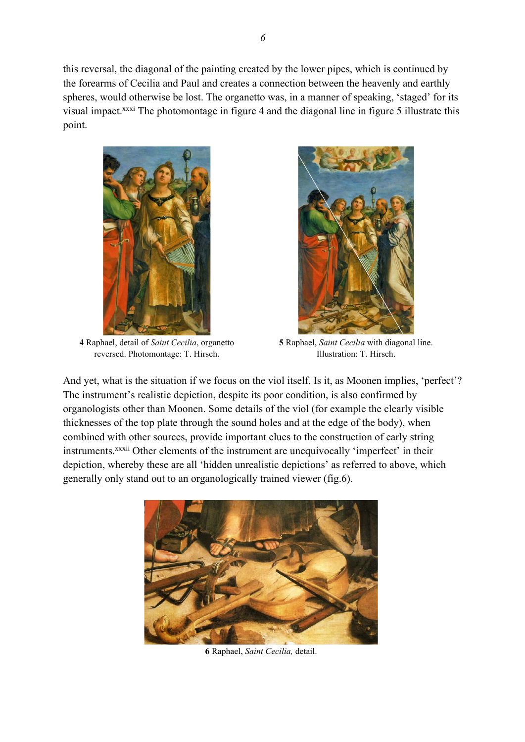this reversal, the diagonal of the painting created by the lower pipes, which is continued by the forearms of Cecilia and Paul and creates a connection between the heavenly and earthly spheres, would otherwise be lost. The organetto was, in a manner of speaking, 'staged' for its visual impact.xxxi The photomontage in figure 4 and the diagonal line in figure 5 illustrate this point.



**4** Raphael, detail of *Saint Cecilia*, organetto reversed. Photomontage: T. Hirsch.



**5** Raphael, *Saint Cecilia* with diagonal line. Illustration: T. Hirsch.

And yet, what is the situation if we focus on the viol itself. Is it, as Moonen implies, 'perfect'? The instrument's realistic depiction, despite its poor condition, is also confirmed by organologists other than Moonen. Some details of the viol (for example the clearly visible thicknesses of the top plate through the sound holes and at the edge of the body), when combined with other sources, provide important clues to the construction of early string instruments.<sup>xxxii</sup> Other elements of the instrument are unequivocally 'imperfect' in their depiction, whereby these are all 'hidden unrealistic depictions' as referred to above, which generally only stand out to an organologically trained viewer (fig.6).



**6** Raphael, *Saint Cecilia,* detail.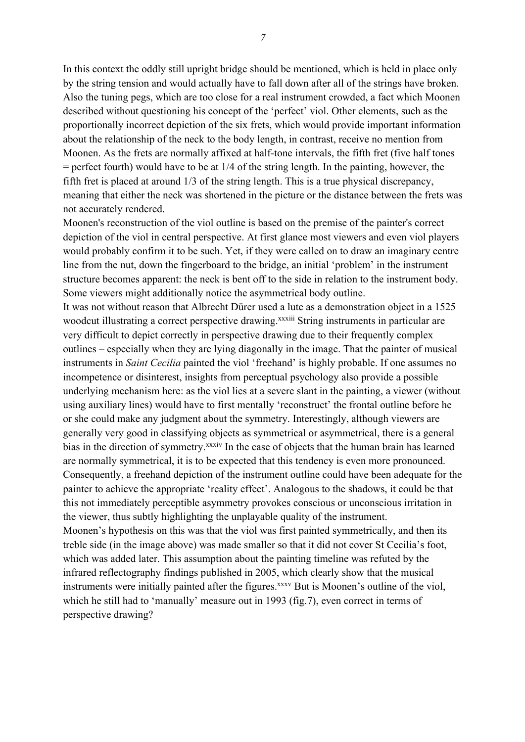In this context the oddly still upright bridge should be mentioned, which is held in place only by the string tension and would actually have to fall down after all of the strings have broken. Also the tuning pegs, which are too close for a real instrument crowded, a fact which Moonen described without questioning his concept of the 'perfect' viol. Other elements, such as the proportionally incorrect depiction of the six frets, which would provide important information about the relationship of the neck to the body length, in contrast, receive no mention from Moonen. As the frets are normally affixed at half-tone intervals, the fifth fret (five half tones  $=$  perfect fourth) would have to be at  $1/4$  of the string length. In the painting, however, the fifth fret is placed at around 1/3 of the string length. This is a true physical discrepancy, meaning that either the neck was shortened in the picture or the distance between the frets was not accurately rendered.

Moonen's reconstruction of the viol outline is based on the premise of the painter's correct depiction of the viol in central perspective. At first glance most viewers and even viol players would probably confirm it to be such. Yet, if they were called on to draw an imaginary centre line from the nut, down the fingerboard to the bridge, an initial 'problem' in the instrument structure becomes apparent: the neck is bent off to the side in relation to the instrument body. Some viewers might additionally notice the asymmetrical body outline.

It was not without reason that Albrecht Dürer used a lute as a demonstration object in a 1525 woodcut illustrating a correct perspective drawing.<sup>xxxiii</sup> String instruments in particular are very difficult to depict correctly in perspective drawing due to their frequently complex outlines – especially when they are lying diagonally in the image. That the painter of musical instruments in *Saint Cecilia* painted the viol 'freehand' is highly probable. If one assumes no incompetence or disinterest, insights from perceptual psychology also provide a possible underlying mechanism here: as the viol lies at a severe slant in the painting, a viewer (without using auxiliary lines) would have to first mentally 'reconstruct' the frontal outline before he or she could make any judgment about the symmetry. Interestingly, although viewers are generally very good in classifying objects as symmetrical or asymmetrical, there is a general bias in the direction of symmetry.<sup>xxxiv</sup> In the case of objects that the human brain has learned are normally symmetrical, it is to be expected that this tendency is even more pronounced. Consequently, a freehand depiction of the instrument outline could have been adequate for the painter to achieve the appropriate 'reality effect'. Analogous to the shadows, it could be that this not immediately perceptible asymmetry provokes conscious or unconscious irritation in the viewer, thus subtly highlighting the unplayable quality of the instrument. Moonen's hypothesis on this was that the viol was first painted symmetrically, and then its treble side (in the image above) was made smaller so that it did not cover St Cecilia's foot, which was added later. This assumption about the painting timeline was refuted by the infrared reflectography findings published in 2005, which clearly show that the musical instruments were initially painted after the figures.<sup>xxxv</sup> But is Moonen's outline of the viol,

which he still had to 'manually' measure out in 1993 (fig.7), even correct in terms of perspective drawing?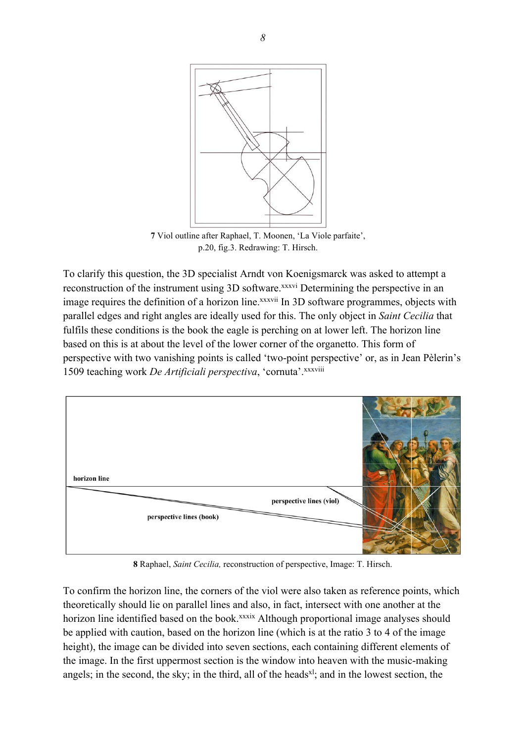

**7** Viol outline after Raphael, T. Moonen, 'La Viole parfaite', p.20, fig.3. Redrawing: T. Hirsch.

To clarify this question, the 3D specialist Arndt von Koenigsmarck was asked to attempt a reconstruction of the instrument using 3D software.<sup>xxxvi</sup> Determining the perspective in an image requires the definition of a horizon line.<sup>xxxvii</sup> In 3D software programmes, objects with parallel edges and right angles are ideally used for this. The only object in *Saint Cecilia* that fulfils these conditions is the book the eagle is perching on at lower left. The horizon line based on this is at about the level of the lower corner of the organetto. This form of perspective with two vanishing points is called 'two-point perspective' or, as in Jean Pèlerin's 1509 teaching work *De Artificiali perspectiva*, 'cornuta'.xxxviii



**8** Raphael, *Saint Cecilia,* reconstruction of perspective, Image: T. Hirsch.

To confirm the horizon line, the corners of the viol were also taken as reference points, which theoretically should lie on parallel lines and also, in fact, intersect with one another at the horizon line identified based on the book.<sup>xxxix</sup> Although proportional image analyses should be applied with caution, based on the horizon line (which is at the ratio 3 to 4 of the image height), the image can be divided into seven sections, each containing different elements of the image. In the first uppermost section is the window into heaven with the music-making angels; in the second, the sky; in the third, all of the heads<sup>xl</sup>; and in the lowest section, the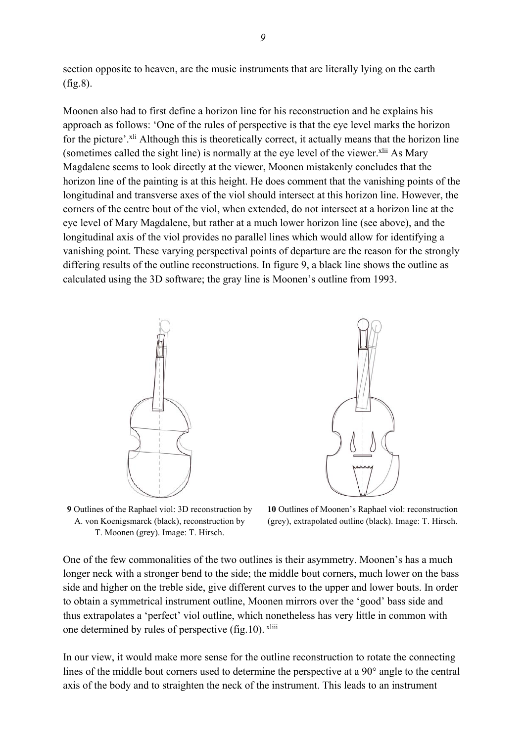section opposite to heaven, are the music instruments that are literally lying on the earth (fig.8).

Moonen also had to first define a horizon line for his reconstruction and he explains his approach as follows: 'One of the rules of perspective is that the eye level marks the horizon for the picture'.<sup>xli</sup> Although this is theoretically correct, it actually means that the horizon line (sometimes called the sight line) is normally at the eye level of the viewer. $x^{\text{li}}$  As Mary Magdalene seems to look directly at the viewer, Moonen mistakenly concludes that the horizon line of the painting is at this height. He does comment that the vanishing points of the longitudinal and transverse axes of the viol should intersect at this horizon line. However, the corners of the centre bout of the viol, when extended, do not intersect at a horizon line at the eye level of Mary Magdalene, but rather at a much lower horizon line (see above), and the longitudinal axis of the viol provides no parallel lines which would allow for identifying a vanishing point. These varying perspectival points of departure are the reason for the strongly differing results of the outline reconstructions. In figure 9, a black line shows the outline as calculated using the 3D software; the gray line is Moonen's outline from 1993.





**9** Outlines of the Raphael viol: 3D reconstruction by A. von Koenigsmarck (black), reconstruction by T. Moonen (grey). Image: T. Hirsch.

**10** Outlines of Moonen's Raphael viol: reconstruction (grey), extrapolated outline (black). Image: T. Hirsch.

One of the few commonalities of the two outlines is their asymmetry. Moonen's has a much longer neck with a stronger bend to the side; the middle bout corners, much lower on the bass side and higher on the treble side, give different curves to the upper and lower bouts. In order to obtain a symmetrical instrument outline, Moonen mirrors over the 'good' bass side and thus extrapolates a 'perfect' viol outline, which nonetheless has very little in common with one determined by rules of perspective (fig.10). xliii

In our view, it would make more sense for the outline reconstruction to rotate the connecting lines of the middle bout corners used to determine the perspective at a 90° angle to the central axis of the body and to straighten the neck of the instrument. This leads to an instrument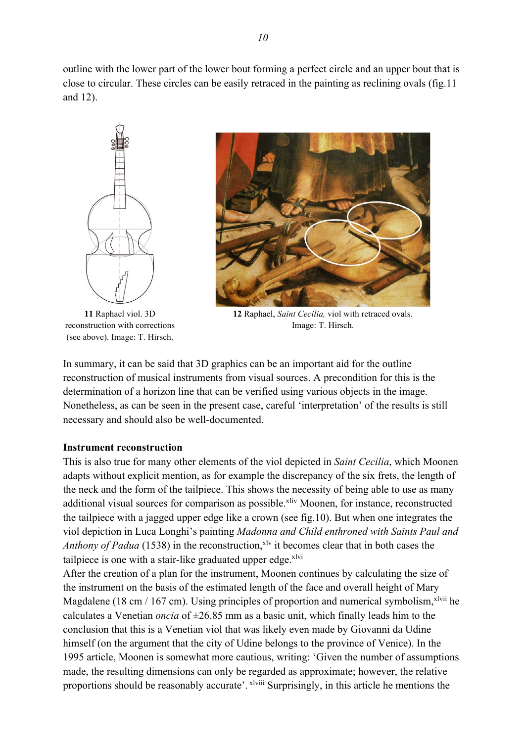outline with the lower part of the lower bout forming a perfect circle and an upper bout that is close to circular. These circles can be easily retraced in the painting as reclining ovals (fig.11 and 12).



**11** Raphael viol. 3D reconstruction with corrections (see above). Image: T. Hirsch.



**12** Raphael, *Saint Cecilia,* viol with retraced ovals. Image: T. Hirsch.

In summary, it can be said that 3D graphics can be an important aid for the outline reconstruction of musical instruments from visual sources. A precondition for this is the determination of a horizon line that can be verified using various objects in the image. Nonetheless, as can be seen in the present case, careful 'interpretation' of the results is still necessary and should also be well-documented.

#### **Instrument reconstruction**

This is also true for many other elements of the viol depicted in *Saint Cecilia*, which Moonen adapts without explicit mention, as for example the discrepancy of the six frets, the length of the neck and the form of the tailpiece. This shows the necessity of being able to use as many additional visual sources for comparison as possible.<sup>xliv</sup> Moonen, for instance, reconstructed the tailpiece with a jagged upper edge like a crown (see fig.10). But when one integrates the viol depiction in Luca Longhi's painting *Madonna and Child enthroned with Saints Paul and Anthony of Padua* (1538) in the reconstruction,<sup>xly</sup> it becomes clear that in both cases the tailpiece is one with a stair-like graduated upper edge. $x^1$ 

After the creation of a plan for the instrument, Moonen continues by calculating the size of the instrument on the basis of the estimated length of the face and overall height of Mary Magdalene (18 cm / 167 cm). Using principles of proportion and numerical symbolism,  $x^2$ lvii he calculates a Venetian *oncia* of  $\pm 26.85$  mm as a basic unit, which finally leads him to the conclusion that this is a Venetian viol that was likely even made by Giovanni da Udine himself (on the argument that the city of Udine belongs to the province of Venice). In the 1995 article, Moonen is somewhat more cautious, writing: 'Given the number of assumptions made, the resulting dimensions can only be regarded as approximate; however, the relative proportions should be reasonably accurate'.  $x^2$  Surprisingly, in this article he mentions the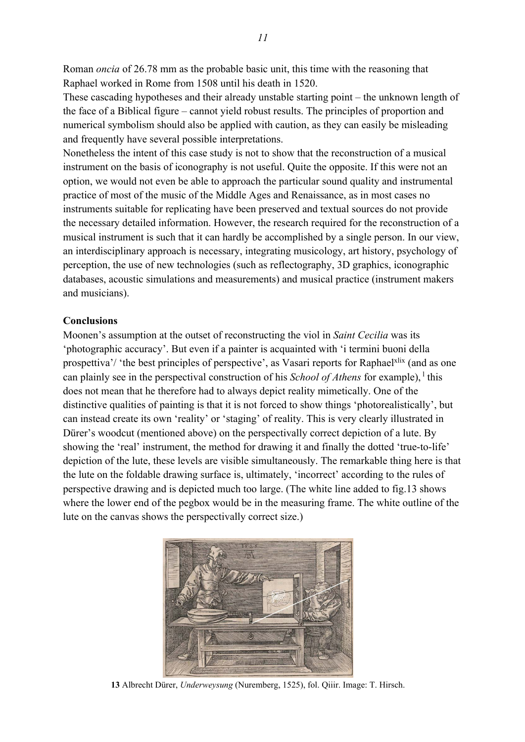Roman *oncia* of 26.78 mm as the probable basic unit, this time with the reasoning that Raphael worked in Rome from 1508 until his death in 1520.

These cascading hypotheses and their already unstable starting point – the unknown length of the face of a Biblical figure – cannot yield robust results. The principles of proportion and numerical symbolism should also be applied with caution, as they can easily be misleading and frequently have several possible interpretations.

Nonetheless the intent of this case study is not to show that the reconstruction of a musical instrument on the basis of iconography is not useful. Quite the opposite. If this were not an option, we would not even be able to approach the particular sound quality and instrumental practice of most of the music of the Middle Ages and Renaissance, as in most cases no instruments suitable for replicating have been preserved and textual sources do not provide the necessary detailed information. However, the research required for the reconstruction of a musical instrument is such that it can hardly be accomplished by a single person. In our view, an interdisciplinary approach is necessary, integrating musicology, art history, psychology of perception, the use of new technologies (such as reflectography, 3D graphics, iconographic databases, acoustic simulations and measurements) and musical practice (instrument makers and musicians).

#### **Conclusions**

Moonen's assumption at the outset of reconstructing the viol in *Saint Cecilia* was its 'photographic accuracy'. But even if a painter is acquainted with 'i termini buoni della prospettiva'/ 'the best principles of perspective', as Vasari reports for Raphael<sup>xlix</sup> (and as one can plainly see in the perspectival construction of his *School of Athens* for example), <sup>1</sup> this does not mean that he therefore had to always depict reality mimetically. One of the distinctive qualities of painting is that it is not forced to show things 'photorealistically', but can instead create its own 'reality' or 'staging' of reality. This is very clearly illustrated in Dürer's woodcut (mentioned above) on the perspectivally correct depiction of a lute. By showing the 'real' instrument, the method for drawing it and finally the dotted 'true-to-life' depiction of the lute, these levels are visible simultaneously. The remarkable thing here is that the lute on the foldable drawing surface is, ultimately, 'incorrect' according to the rules of perspective drawing and is depicted much too large. (The white line added to fig.13 shows where the lower end of the pegbox would be in the measuring frame. The white outline of the lute on the canvas shows the perspectivally correct size.)



**13** Albrecht Dürer, *Underweysung* (Nuremberg, 1525), fol. Qiiir. Image: T. Hirsch.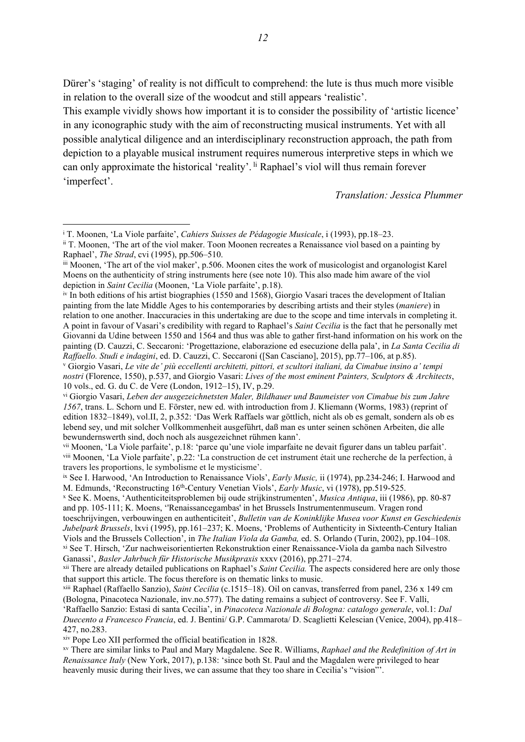Dürer's 'staging' of reality is not difficult to comprehend: the lute is thus much more visible in relation to the overall size of the woodcut and still appears 'realistic'.

This example vividly shows how important it is to consider the possibility of 'artistic licence' in any iconographic study with the aim of reconstructing musical instruments. Yet with all possible analytical diligence and an interdisciplinary reconstruction approach, the path from depiction to a playable musical instrument requires numerous interpretive steps in which we can only approximate the historical 'reality'. <sup>li</sup> Raphael's viol will thus remain forever 'imperfect'.

*Translation: Jessica Plummer*

xiv Pope Leo XII performed the official beatification in 1828.

<sup>i</sup> T. Moonen, 'La Viole parfaite', *Cahiers Suisses de Pédagogie Musicale*, i (1993), pp.18–23.

ii T. Moonen, 'The art of the viol maker. Toon Moonen recreates a Renaissance viol based on a painting by Raphael', *The Strad*, cvi (1995), pp.506–510.

iii Moonen, 'The art of the viol maker', p.506. Moonen cites the work of musicologist and organologist Karel Moens on the authenticity of string instruments here (see note 10). This also made him aware of the viol depiction in *Saint Cecilia* (Moonen, 'La Viole parfaite', p.18).

iv In both editions of his artist biographies (1550 and 1568), Giorgio Vasari traces the development of Italian painting from the late Middle Ages to his contemporaries by describing artists and their styles (*maniere*) in relation to one another. Inaccuracies in this undertaking are due to the scope and time intervals in completing it. A point in favour of Vasari's credibility with regard to Raphael's *Saint Cecilia* is the fact that he personally met Giovanni da Udine between 1550 and 1564 and thus was able to gather first-hand information on his work on the painting (D. Cauzzi, C. Seccaroni: 'Progettazione, elaborazione ed esecuzione della pala', in *La Santa Cecilia di Raffaello. Studi e indagini*, ed. D. Cauzzi, C. Seccaroni ([San Casciano], 2015), pp.77–106, at p.85).

<sup>v</sup> Giorgio Vasari, *Le vite de' più eccellenti architetti, pittori, et scultori italiani, da Cimabue insino a' tempi nostri* (Florence, 1550), p.537, and Giorgio Vasari: *Lives of the most eminent Painters, Sculptors & Architects*, 10 vols., ed. G. du C. de Vere (London, 1912–15), IV, p.29.

vi Giorgio Vasari, *Leben der ausgezeichnetsten Maler, Bildhauer und Baumeister von Cimabue bis zum Jahre 1567*, trans. L. Schorn und E. Förster, new ed. with introduction from J. Kliemann (Worms, 1983) (reprint of edition 1832–1849), vol.II, 2, p.352: 'Das Werk Raffaels war göttlich, nicht als ob es gemalt, sondern als ob es lebend sey, und mit solcher Vollkommenheit ausgeführt, daß man es unter seinen schönen Arbeiten, die alle bewundernswerth sind, doch noch als ausgezeichnet rühmen kann'.

vii Moonen, 'La Viole parfaite', p.18: 'parce qu'une viole imparfaite ne devait figurer dans un tableu parfait'. viii Moonen, 'La Viole parfaite', p.22: 'La construction de cet instrument était une recherche de la perfection, à travers les proportions, le symbolisme et le mysticisme'.

ix See I. Harwood, 'An Introduction to Renaissance Viols', *Early Music,* ii (1974), pp.234-246; I. Harwood and M. Edmunds, 'Reconstructing 16th-Century Venetian Viols', *Early Music*, vi (1978), pp.519-525.

<sup>x</sup> See K. Moens, 'Authenticiteitsproblemen bij oude strijkinstrumenten', *Musica Antiqua*, iii (1986), pp. 80-87 and pp. 105-111; K. Moens, ''Renaissancegambas' in het Brussels Instrumentenmuseum. Vragen rond

toeschrijvingen, verbouwingen en authenticiteit', *Bulletin van de Koninklijke Musea voor Kunst en Geschiedenis Jubelpark Brussels*, lxvi (1995), pp.161–237; K. Moens, 'Problems of Authenticity in Sixteenth-Century Italian Viols and the Brussels Collection', in *The Italian Viola da Gamba,* ed. S. Orlando (Turin, 2002), pp.104–108. xi See T. Hirsch, 'Zur nachweisorientierten Rekonstruktion einer Renaissance-Viola da gamba nach Silvestro

Ganassi', *Basler Jahrbuch für Historische Musikpraxis* xxxv (2016), pp.271–274.

xii There are already detailed publications on Raphael's *Saint Cecilia.* The aspects considered here are only those that support this article. The focus therefore is on thematic links to music.

xiii Raphael (Raffaello Sanzio), *Saint Cecilia* (c.1515–18). Oil on canvas, transferred from panel, 236 x 149 cm (Bologna, Pinacoteca Nazionale, inv.no.577). The dating remains a subject of controversy. See F. Valli,

<sup>&#</sup>x27;Raffaello Sanzio: Estasi di santa Cecilia', in *Pinacoteca Nazionale di Bologna: catalogo generale*, vol.1: *Dal Duecento a Francesco Francia*, ed. J. Bentini/ G.P. Cammarota/ D. Scaglietti Kelescian (Venice, 2004), pp.418– 427, no.283.

xv There are similar links to Paul and Mary Magdalene. See R. Williams, *Raphael and the Redefinition of Art in Renaissance Italy* (New York, 2017), p.138: 'since both St. Paul and the Magdalen were privileged to hear heavenly music during their lives, we can assume that they too share in Cecilia's "vision"'.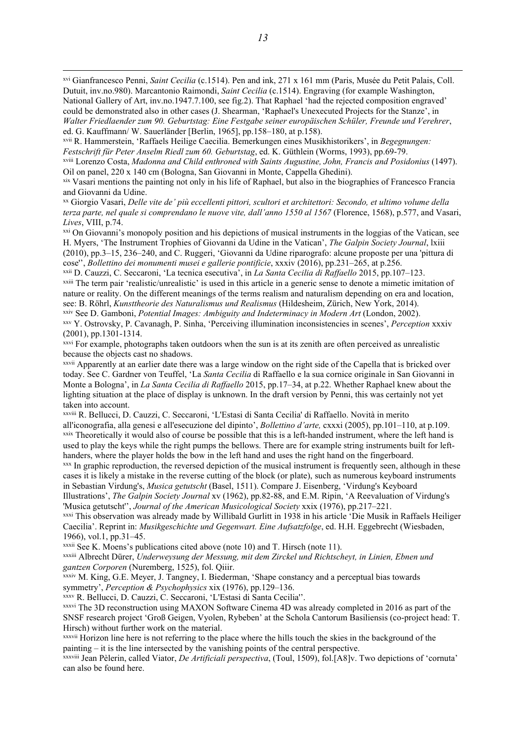xvi Gianfrancesco Penni, *Saint Cecilia* (c.1514). Pen and ink, 271 x 161 mm (Paris, Musée du Petit Palais, Coll. Dutuit, inv.no.980). Marcantonio Raimondi, *Saint Cecilia* (c.1514). Engraving (for example Washington, National Gallery of Art, inv.no.1947.7.100, see fig.2). That Raphael 'had the rejected composition engraved' could be demonstrated also in other cases (J. Shearman, 'Raphael's Unexecuted Projects for the Stanze', in *Walter Friedlaender zum 90. Geburtstag: Eine Festgabe seiner europäischen Schüler, Freunde und Verehrer*, ed. G. Kauffmann/ W. Sauerländer [Berlin, 1965], pp.158–180, at p.158).

xvii R. Hammerstein, 'Raffaels Heilige Caecilia. Bemerkungen eines Musikhistorikers', in *Begegnungen: Festschrift für Peter Anselm Riedl zum 60. Geburtstag*, ed. K. Güthlein (Worms, 1993), pp.69-79.

xviii Lorenzo Costa, *Madonna and Child enthroned with Saints Augustine, John, Francis and Posidonius* (1497). Oil on panel, 220 x 140 cm (Bologna, San Giovanni in Monte, Cappella Ghedini).

xix Vasari mentions the painting not only in his life of Raphael, but also in the biographies of Francesco Francia and Giovanni da Udine.

xx Giorgio Vasari, *Delle vite de' più eccellenti pittori, scultori et architettori: Secondo, et ultimo volume della terza parte, nel quale si comprendano le nuove vite, dall'anno 1550 al 1567* (Florence, 1568), p.577, and Vasari, *Lives*, VIII, p.74.

xxi On Giovanni's monopoly position and his depictions of musical instruments in the loggias of the Vatican, see H. Myers, 'The Instrument Trophies of Giovanni da Udine in the Vatican', *The Galpin Society Journal*, lxiii (2010), pp.3–15, 236–240, and C. Ruggeri, 'Giovanni da Udine riparografo: alcune proposte per una 'pittura di cose'', *Bollettino dei monumenti musei e gallerie pontificie*, xxxiv (2016), pp.231–265, at p.256.

xxii D. Cauzzi, C. Seccaroni, 'La tecnica esecutiva', in *La Santa Cecilia di Raffaello* 2015, pp.107–123. xxiii The term pair 'realistic/unrealistic' is used in this article in a generic sense to denote a mimetic imitation of nature or reality. On the different meanings of the terms realism and naturalism depending on era and location, see: B. Röhrl, *Kunsttheorie des Naturalismus und Realismus* (Hildesheim, Zürich, New York, 2014).

xxiv See D. Gamboni, *Potential Images: Ambiguity and Indeterminacy in Modern Art* (London, 2002).

xxv Y. Ostrovsky, P. Cavanagh, P. Sinha, 'Perceiving illumination inconsistencies in scenes', *Perception* xxxiv  $(2001)$ , pp.1301-1314.<br> $x<sub>xvi</sub>$  For example, photographs taken outdoors when the sun is at its zenith are often perceived as unrealistic

because the objects cast no shadows.

xxvii Apparently at an earlier date there was a large window on the right side of the Capella that is bricked over today. See C. Gardner von Teuffel, 'La *Santa Cecilia* di Raffaello e la sua cornice originale in San Giovanni in Monte a Bologna', in *La Santa Cecilia di Raffaello* 2015, pp.17–34, at p.22. Whether Raphael knew about the lighting situation at the place of display is unknown. In the draft version by Penni, this was certainly not yet taken into account.

xxviii R. Bellucci, D. Cauzzi, C. Seccaroni, 'L'Estasi di Santa Cecilia' di Raffaello. Novità in merito all'iconografia, alla genesi e all'esecuzione del dipinto', *Bollettino d'arte,* cxxxi (2005), pp.101–110, at p.109. xxix Theoretically it would also of course be possible that this is a left-handed instrument, where the left hand is used to play the keys while the right pumps the bellows. There are for example string instruments built for lefthanders, where the player holds the bow in the left hand and uses the right hand on the fingerboard.<br><sup>xxx</sup> In graphic reproduction, the reversed depiction of the musical instrument is frequently seen, although in these

cases it is likely a mistake in the reverse cutting of the block (or plate), such as numerous keyboard instruments in Sebastian Virdung's, *Musica getutscht* (Basel, 1511). Compare J. Eisenberg, 'Virdung's Keyboard

Illustrations', *The Galpin Society Journal* xv (1962), pp.82-88, and E.M. Ripin, 'A Reevaluation of Virdung's 'Musica getutscht'', *Journal of the American Musicological Society* xxix (1976), pp.217–221.

xxxi This observation was already made by Willibald Gurlitt in 1938 in his article 'Die Musik in Raffaels Heiliger Caecilia'. Reprint in: *Musikgeschichte und Gegenwart. Eine Aufsatzfolge*, ed. H.H. Eggebrecht (Wiesbaden, 1966), vol.1, pp.31–45.

xxxii See K. Moens's publications cited above (note 10) and T. Hirsch (note 11).

xxxiii Albrecht Dürer, *Underweysung der Messung, mit dem Zirckel und Richtscheyt, in Linien, Ebnen und gantzen Corporen* (Nuremberg, 1525), fol. Qiiir.

xxxiv M. King, G.E. Meyer, J. Tangney, I. Biederman, 'Shape constancy and a perceptual bias towards symmetry', *Perception & Psychophysics* xix (1976), pp.129–136.

xxxv R. Bellucci, D. Cauzzi, C. Seccaroni, 'L'Estasi di Santa Cecilia''.

xxxvi The 3D reconstruction using MAXON Software Cinema 4D was already completed in 2016 as part of the SNSF research project 'Groß Geigen, Vyolen, Rybeben' at the Schola Cantorum Basiliensis (co-project head: T. Hirsch) without further work on the material.

xxxvii Horizon line here is not referring to the place where the hills touch the skies in the background of the painting – it is the line intersected by the vanishing points of the central perspective.

xxxviii Jean Pèlerin, called Viator, *De Artificiali perspectiva*, (Toul, 1509), fol.[A8]v. Two depictions of 'cornuta' can also be found here.